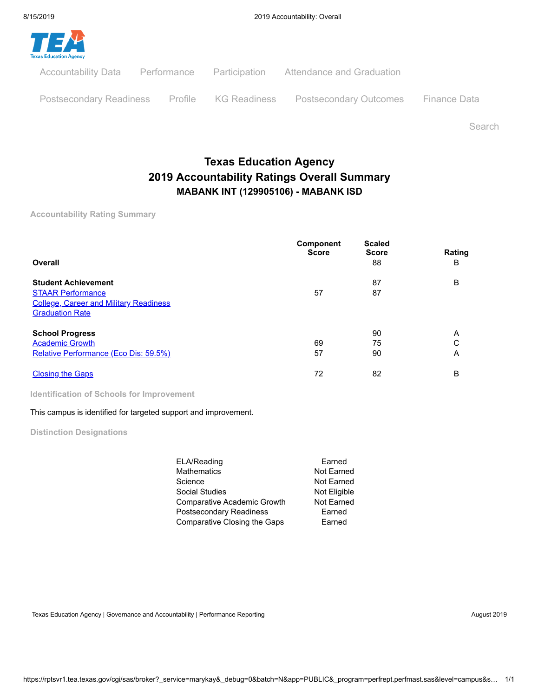

Postsecondary Readiness Profile KG Readiness Postsecondary Outcomes Finance Data

Search

# **Texas Education Agency 2019 Accountability Ratings Overall Summary MABANK INT (129905106) - MABANK ISD**

**Accountability Rating Summary**

| Overall                                                                                                                           | Component<br><b>Score</b> | <b>Scaled</b><br><b>Score</b><br>88 | Rating<br>в |
|-----------------------------------------------------------------------------------------------------------------------------------|---------------------------|-------------------------------------|-------------|
| <b>Student Achievement</b><br><b>STAAR Performance</b><br><b>College, Career and Military Readiness</b><br><b>Graduation Rate</b> | 57                        | 87<br>87                            | B           |
| <b>School Progress</b><br><b>Academic Growth</b><br>Relative Performance (Eco Dis: 59.5%)                                         | 69<br>57                  | 90<br>75<br>90                      | A<br>C<br>Α |
| <b>Closing the Gaps</b>                                                                                                           | 72                        | 82                                  | B           |

**Identification of Schools for Improvement**

#### This campus is identified for targeted support and improvement.

**Distinction Designations**

| ELA/Reading                         | Earned       |
|-------------------------------------|--------------|
| Mathematics                         | Not Earned   |
| Science                             | Not Earned   |
| Social Studies                      | Not Eligible |
| Comparative Academic Growth         | Not Earned   |
| Postsecondary Readiness             | Earned       |
| <b>Comparative Closing the Gaps</b> | Earned       |
|                                     |              |

Texas Education Agency | Governance and Accountability | Performance Reporting August 2019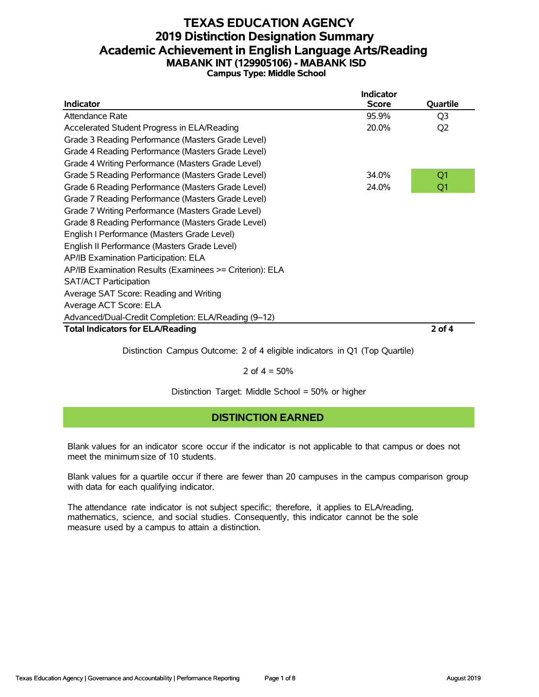## **TEXAS EDUCATION AGENCY 2019 Distinction Designation Summary Academic Achievement in English Language Arts/Reading MABANK INT (129905106) - MABANK ISD Campus Type: Middle School**

|                                                         | Indicator    |                |
|---------------------------------------------------------|--------------|----------------|
| <b>Indicator</b>                                        | <b>Score</b> | Quartile       |
| Attendance Rate                                         | 95.9%        | Q <sub>3</sub> |
| Accelerated Student Progress in ELA/Reading             | 20.0%        | Q <sub>2</sub> |
| Grade 3 Reading Performance (Masters Grade Level)       |              |                |
| Grade 4 Reading Performance (Masters Grade Level)       |              |                |
| Grade 4 Writing Performance (Masters Grade Level)       |              |                |
| Grade 5 Reading Performance (Masters Grade Level)       | 34.0%        | Q1             |
| Grade 6 Reading Performance (Masters Grade Level)       | 24.0%        | Q1             |
| Grade 7 Reading Performance (Masters Grade Level)       |              |                |
| Grade 7 Writing Performance (Masters Grade Level)       |              |                |
| Grade 8 Reading Performance (Masters Grade Level)       |              |                |
| English I Performance (Masters Grade Level)             |              |                |
| English II Performance (Masters Grade Level)            |              |                |
| AP/IB Examination Participation: ELA                    |              |                |
| AP/IB Examination Results (Examinees >= Criterion): ELA |              |                |
| <b>SAT/ACT Participation</b>                            |              |                |
| Average SAT Score: Reading and Writing                  |              |                |
| Average ACT Score: ELA                                  |              |                |
| Advanced/Dual-Credit Completion: ELA/Reading (9-12)     |              |                |
| <b>Total Indicators for ELA/Reading</b>                 |              | 2 of 4         |

Distinction Campus Outcome: 2 of 4 eligible indicators in Q1 (Top Quartile)

2 of  $4 = 50%$ 

Distinction Target: Middle School = 50% or higher

## **DISTINCTION EARNED**

Blank values for an indicator score occur if the indicator is not applicable to that campus or does not meet the minimum size of 10 students.

Blank values for a quartile occur if there are fewer than 20 campuses in the campus comparison group with data for each qualifying indicator.

The attendance rate indicator is not subject specific; therefore, it applies to ELA/reading, mathematics, science, and social studies. Consequently, this indicator cannot be the sole measure used by a campus to attain a distinction.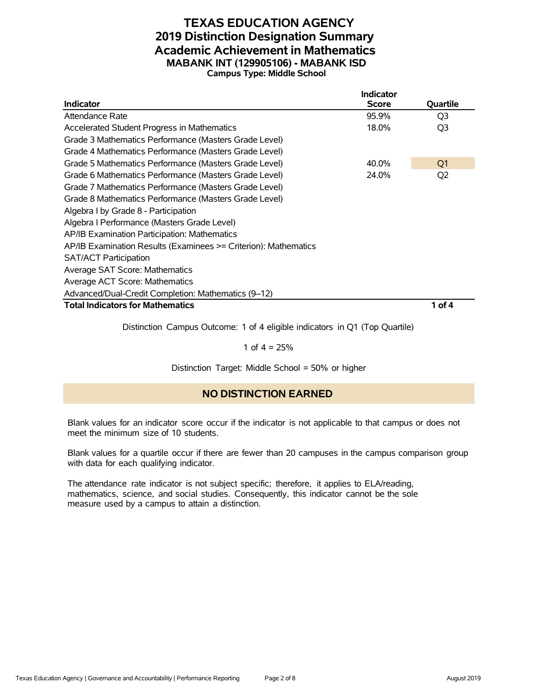### **TEXAS EDUCATION AGENCY 2019 Distinction Designation Summary Academic Achievement in Mathematics MABANK INT (129905106) - MABANK ISD Campus Type: Middle School**

|                                                                 | <b>Indicator</b> |                |
|-----------------------------------------------------------------|------------------|----------------|
| <b>Indicator</b>                                                | <b>Score</b>     | Quartile       |
| Attendance Rate                                                 | 95.9%            | Q3             |
| Accelerated Student Progress in Mathematics                     | 18.0%            | Q3             |
| Grade 3 Mathematics Performance (Masters Grade Level)           |                  |                |
| Grade 4 Mathematics Performance (Masters Grade Level)           |                  |                |
| Grade 5 Mathematics Performance (Masters Grade Level)           | 40.0%            | Q <sub>1</sub> |
| Grade 6 Mathematics Performance (Masters Grade Level)           | 24.0%            | Q2             |
| Grade 7 Mathematics Performance (Masters Grade Level)           |                  |                |
| Grade 8 Mathematics Performance (Masters Grade Level)           |                  |                |
| Algebra I by Grade 8 - Participation                            |                  |                |
| Algebra I Performance (Masters Grade Level)                     |                  |                |
| AP/IB Examination Participation: Mathematics                    |                  |                |
| AP/IB Examination Results (Examinees >= Criterion): Mathematics |                  |                |
| <b>SAT/ACT Participation</b>                                    |                  |                |
| Average SAT Score: Mathematics                                  |                  |                |
| Average ACT Score: Mathematics                                  |                  |                |
| Advanced/Dual-Credit Completion: Mathematics (9-12)             |                  |                |
| <b>Total Indicators for Mathematics</b>                         |                  | 1 of 4         |

Distinction Campus Outcome: 1 of 4 eligible indicators in Q1 (Top Quartile)

1 of  $4 = 25%$ 

Distinction Target: Middle School = 50% or higher

#### **NO DISTINCTION EARNED**

Blank values for an indicator score occur if the indicator is not applicable to that campus or does not meet the minimum size of 10 students.

Blank values for a quartile occur if there are fewer than 20 campuses in the campus comparison group with data for each qualifying indicator.

The attendance rate indicator is not subject specific; therefore, it applies to ELA/reading, mathematics, science, and social studies. Consequently, this indicator cannot be the sole measure used by a campus to attain a distinction.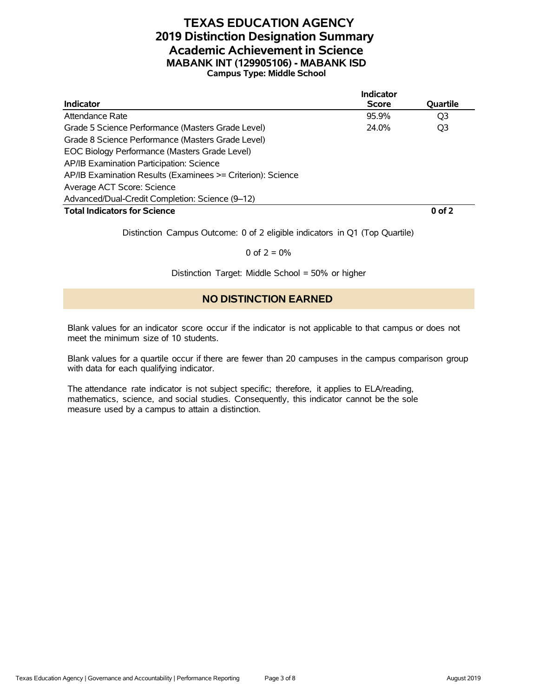## **TEXAS EDUCATION AGENCY 2019 Distinction Designation Summary Academic Achievement in Science MABANK INT (129905106) - MABANK ISD Campus Type: Middle School**

|                                                             | Indicator    |                |
|-------------------------------------------------------------|--------------|----------------|
| <b>Indicator</b>                                            | <b>Score</b> | Quartile       |
| Attendance Rate                                             | 95.9%        | O <sub>3</sub> |
| Grade 5 Science Performance (Masters Grade Level)           | 24.0%        | Q3             |
| Grade 8 Science Performance (Masters Grade Level)           |              |                |
| EOC Biology Performance (Masters Grade Level)               |              |                |
| AP/IB Examination Participation: Science                    |              |                |
| AP/IB Examination Results (Examinees >= Criterion): Science |              |                |
| Average ACT Score: Science                                  |              |                |
| Advanced/Dual-Credit Completion: Science (9-12)             |              |                |
| <b>Total Indicators for Science</b>                         |              | $0$ of $2$     |

Distinction Campus Outcome: 0 of 2 eligible indicators in Q1 (Top Quartile)

0 of  $2 = 0%$ 

Distinction Target: Middle School = 50% or higher

#### **NO DISTINCTION EARNED**

Blank values for an indicator score occur if the indicator is not applicable to that campus or does not meet the minimum size of 10 students.

Blank values for a quartile occur if there are fewer than 20 campuses in the campus comparison group with data for each qualifying indicator.

The attendance rate indicator is not subject specific; therefore, it applies to ELA/reading, mathematics, science, and social studies. Consequently, this indicator cannot be the sole measure used by a campus to attain a distinction.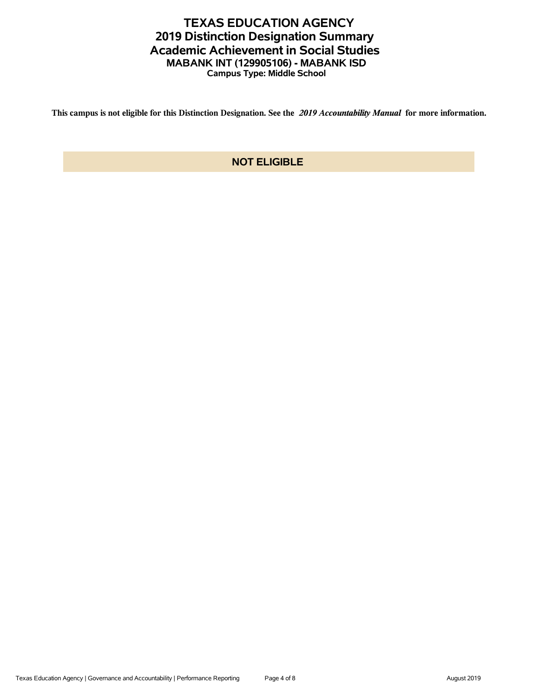## **TEXAS EDUCATION AGENCY 2019 Distinction Designation Summary Academic Achievement in Social Studies MABANK INT (129905106) - MABANK ISD Campus Type: Middle School**

**This campus is not eligible for this Distinction Designation. See the** *2019 Accountability Manual* **for more information.**

## **NOT ELIGIBLE**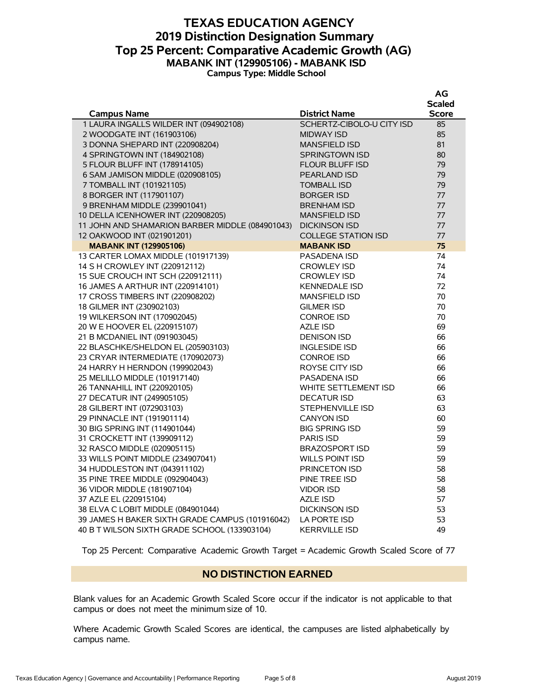### **TEXAS EDUCATION AGENCY 2019 Distinction Designation Summary Top 25 Percent: Comparative Academic Growth (AG) MABANK INT (129905106) - MABANK ISD Campus Type: Middle School**

|                                                 |                           | πv           |
|-------------------------------------------------|---------------------------|--------------|
|                                                 |                           | Scaled       |
| <b>Campus Name</b>                              | <b>District Name</b>      | <b>Score</b> |
| 1 LAURA INGALLS WILDER INT (094902108)          | SCHERTZ-CIBOLO-U CITY ISD | 85           |
| 2 WOODGATE INT (161903106)                      | <b>MIDWAY ISD</b>         | 85           |
| 3 DONNA SHEPARD INT (220908204)                 | <b>MANSFIELD ISD</b>      | 81           |
| 4 SPRINGTOWN INT (184902108)                    | SPRINGTOWN ISD            | 80           |
| 5 FLOUR BLUFF INT (178914105)                   | FLOUR BLUFF ISD           | 79           |
| 6 SAM JAMISON MIDDLE (020908105)                | <b>PEARLAND ISD</b>       | 79           |
| 7 TOMBALL INT (101921105)                       | <b>TOMBALL ISD</b>        | 79           |
| 8 BORGER INT (117901107)                        | <b>BORGER ISD</b>         | 77           |
| 9 BRENHAM MIDDLE (239901041)                    | <b>BRENHAM ISD</b>        | 77           |
| 10 DELLA ICENHOWER INT (220908205)              | <b>MANSFIELD ISD</b>      | 77           |
| 11 JOHN AND SHAMARION BARBER MIDDLE (084901043) | <b>DICKINSON ISD</b>      | 77           |
| 12 OAKWOOD INT (021901201)                      | COLLEGE STATION ISD       | 77           |
| <b>MABANK INT (129905106)</b>                   | <b>MABANK ISD</b>         | 75           |
| 13 CARTER LOMAX MIDDLE (101917139)              | <b>PASADENA ISD</b>       | 74           |
| 14 S H CROWLEY INT (220912112)                  | <b>CROWLEY ISD</b>        | 74           |
| 15 SUE CROUCH INT SCH (220912111)               | <b>CROWLEY ISD</b>        | 74           |
| 16 JAMES A ARTHUR INT (220914101)               | <b>KENNEDALE ISD</b>      | 72           |
| 17 CROSS TIMBERS INT (220908202)                | <b>MANSFIELD ISD</b>      | 70           |
| 18 GILMER INT (230902103)                       | <b>GILMER ISD</b>         | 70           |
| 19 WILKERSON INT (170902045)                    | <b>CONROE ISD</b>         | 70           |
| 20 W E HOOVER EL (220915107)                    | <b>AZLE ISD</b>           | 69           |
| 21 B MCDANIEL INT (091903045)                   | <b>DENISON ISD</b>        | 66           |
| 22 BLASCHKE/SHELDON EL (205903103)              | <b>INGLESIDE ISD</b>      | 66           |
| 23 CRYAR INTERMEDIATE (170902073)               | <b>CONROE ISD</b>         | 66           |
| 24 HARRY H HERNDON (199902043)                  | ROYSE CITY ISD            | 66           |
| 25 MELILLO MIDDLE (101917140)                   | PASADENA ISD              | 66           |
| 26 TANNAHILL INT (220920105)                    | WHITE SETTLEMENT ISD      | 66           |
| 27 DECATUR INT (249905105)                      | <b>DECATUR ISD</b>        | 63           |
| 28 GILBERT INT (072903103)                      | STEPHENVILLE ISD          | 63           |
| 29 PINNACLE INT (191901114)                     | <b>CANYON ISD</b>         | 60           |
| 30 BIG SPRING INT (114901044)                   | <b>BIG SPRING ISD</b>     | 59           |
| 31 CROCKETT INT (139909112)                     | <b>PARIS ISD</b>          | 59           |
| 32 RASCO MIDDLE (020905115)                     | <b>BRAZOSPORT ISD</b>     | 59           |
| 33 WILLS POINT MIDDLE (234907041)               | <b>WILLS POINT ISD</b>    | 59           |
| 34 HUDDLESTON INT (043911102)                   | PRINCETON ISD             | 58           |
| 35 PINE TREE MIDDLE (092904043)                 | PINE TREE ISD             | 58           |
| 36 VIDOR MIDDLE (181907104)                     | <b>VIDOR ISD</b>          | 58           |
| 37 AZLE EL (220915104)                          | <b>AZLE ISD</b>           | 57           |
| 38 ELVA C LOBIT MIDDLE (084901044)              | <b>DICKINSON ISD</b>      | 53           |
| 39 JAMES H BAKER SIXTH GRADE CAMPUS (101916042) | LA PORTE ISD              | 53           |
| 40 B T WILSON SIXTH GRADE SCHOOL (133903104)    | <b>KERRVILLE ISD</b>      | 49           |

Top 25 Percent: Comparative Academic Growth Target = Academic Growth Scaled Score of 77

#### **NO DISTINCTION EARNED**

Blank values for an Academic Growth Scaled Score occur if the indicator is not applicable to that campus or does not meet the minimum size of 10.

Where Academic Growth Scaled Scores are identical, the campuses are listed alphabetically by campus name.

**AG**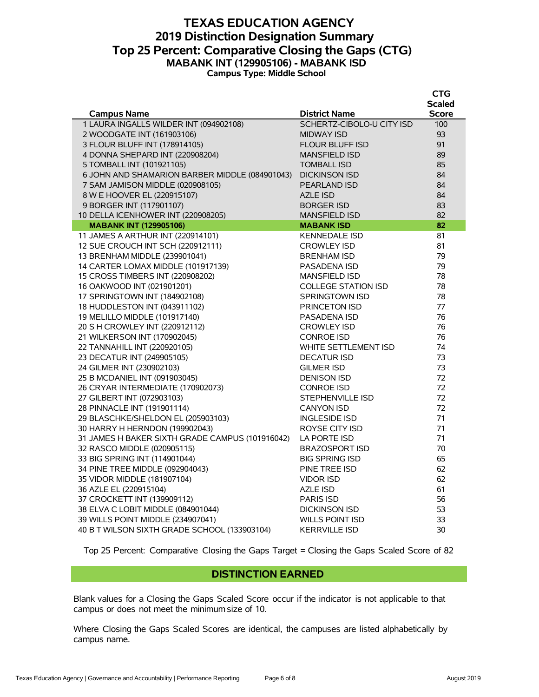### **TEXAS EDUCATION AGENCY 2019 Distinction Designation Summary Top 25 Percent: Comparative Closing the Gaps (CTG) MABANK INT (129905106) - MABANK ISD Campus Type: Middle School**

|                                                 |                            | <b>CTG</b>    |
|-------------------------------------------------|----------------------------|---------------|
|                                                 |                            | <b>Scaled</b> |
| <b>Campus Name</b>                              | <b>District Name</b>       | <b>Score</b>  |
| 1 LAURA INGALLS WILDER INT (094902108)          | SCHERTZ-CIBOLO-U CITY ISD  | 100           |
| 2 WOODGATE INT (161903106)                      | <b>MIDWAY ISD</b>          | 93            |
| 3 FLOUR BLUFF INT (178914105)                   | <b>FLOUR BLUFF ISD</b>     | 91            |
| 4 DONNA SHEPARD INT (220908204)                 | <b>MANSFIELD ISD</b>       | 89            |
| 5 TOMBALL INT (101921105)                       | <b>TOMBALL ISD</b>         | 85            |
| 6 JOHN AND SHAMARION BARBER MIDDLE (084901043)  | <b>DICKINSON ISD</b>       | 84            |
| 7 SAM JAMISON MIDDLE (020908105)                | PEARLAND ISD               | 84            |
| 8 W E HOOVER EL (220915107)                     | <b>AZLE ISD</b>            | 84            |
| 9 BORGER INT (117901107)                        | <b>BORGER ISD</b>          | 83            |
| 10 DELLA ICENHOWER INT (220908205)              | <b>MANSFIELD ISD</b>       | 82            |
| <b>MABANK INT (129905106)</b>                   | <b>MABANK ISD</b>          | 82            |
| 11 JAMES A ARTHUR INT (220914101)               | <b>KENNEDALE ISD</b>       | 81            |
| 12 SUE CROUCH INT SCH (220912111)               | <b>CROWLEY ISD</b>         | 81            |
| 13 BRENHAM MIDDLE (239901041)                   | <b>BRENHAM ISD</b>         | 79            |
| 14 CARTER LOMAX MIDDLE (101917139)              | PASADENA ISD               | 79            |
| 15 CROSS TIMBERS INT (220908202)                | <b>MANSFIELD ISD</b>       | 78            |
| 16 OAKWOOD INT (021901201)                      | <b>COLLEGE STATION ISD</b> | 78            |
| 17 SPRINGTOWN INT (184902108)                   | SPRINGTOWN ISD             | 78            |
| 18 HUDDLESTON INT (043911102)                   | <b>PRINCETON ISD</b>       | 77            |
| 19 MELILLO MIDDLE (101917140)                   | PASADENA ISD               | 76            |
| 20 S H CROWLEY INT (220912112)                  | <b>CROWLEY ISD</b>         | 76            |
| 21 WILKERSON INT (170902045)                    | <b>CONROE ISD</b>          | 76            |
| 22 TANNAHILL INT (220920105)                    | WHITE SETTLEMENT ISD       | 74            |
| 23 DECATUR INT (249905105)                      | <b>DECATUR ISD</b>         | 73            |
| 24 GILMER INT (230902103)                       | <b>GILMER ISD</b>          | 73            |
| 25 B MCDANIEL INT (091903045)                   | <b>DENISON ISD</b>         | 72            |
| 26 CRYAR INTERMEDIATE (170902073)               | <b>CONROE ISD</b>          | 72            |
| 27 GILBERT INT (072903103)                      | STEPHENVILLE ISD           | 72            |
| 28 PINNACLE INT (191901114)                     | <b>CANYON ISD</b>          | 72<br>71      |
| 29 BLASCHKE/SHELDON EL (205903103)              | <b>INGLESIDE ISD</b>       |               |
| 30 HARRY H HERNDON (199902043)                  | ROYSE CITY ISD             | 71<br>71      |
| 31 JAMES H BAKER SIXTH GRADE CAMPUS (101916042) | LA PORTE ISD               | 70            |
| 32 RASCO MIDDLE (020905115)                     | <b>BRAZOSPORT ISD</b>      |               |
| 33 BIG SPRING INT (114901044)                   | <b>BIG SPRING ISD</b>      | 65            |
| 34 PINE TREE MIDDLE (092904043)                 | PINE TREE ISD              | 62            |
| 35 VIDOR MIDDLE (181907104)                     | <b>VIDOR ISD</b>           | 62            |
| 36 AZLE EL (220915104)                          | AZLE ISD                   | 61            |
| 37 CROCKETT INT (139909112)                     | <b>PARIS ISD</b>           | 56            |
| 38 ELVA C LOBIT MIDDLE (084901044)              | <b>DICKINSON ISD</b>       | 53            |
| 39 WILLS POINT MIDDLE (234907041)               | WILLS POINT ISD            | 33            |
| 40 B T WILSON SIXTH GRADE SCHOOL (133903104)    | <b>KERRVILLE ISD</b>       | 30            |

Top 25 Percent: Comparative Closing the Gaps Target = Closing the Gaps Scaled Score of 82

#### **DISTINCTION EARNED**

Blank values for a Closing the Gaps Scaled Score occur if the indicator is not applicable to that campus or does not meet the minimum size of 10.

Where Closing the Gaps Scaled Scores are identical, the campuses are listed alphabetically by campus name.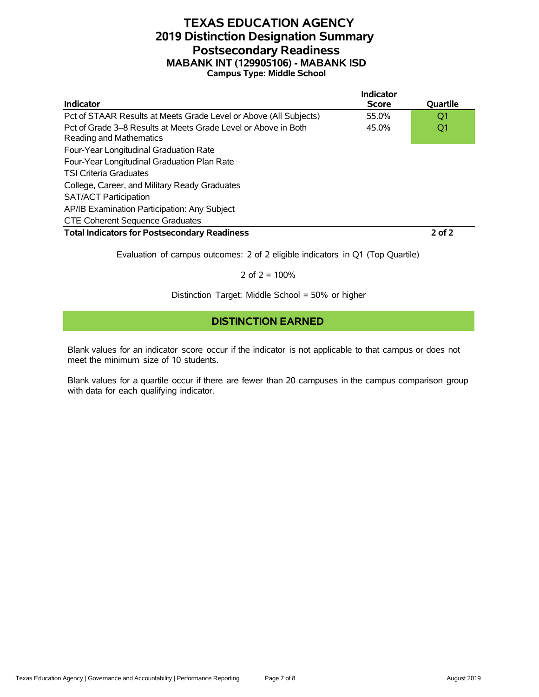## **TEXAS EDUCATION AGENCY 2019 Distinction Designation Summary Postsecondary Readiness MABANK INT (129905106) - MABANK ISD Campus Type: Middle School**

|                                                                                           | Indicator    |            |
|-------------------------------------------------------------------------------------------|--------------|------------|
| Indicator                                                                                 | <b>Score</b> | Quartile   |
| Pct of STAAR Results at Meets Grade Level or Above (All Subjects)                         | 55.0%        | O1         |
| Pct of Grade 3–8 Results at Meets Grade Level or Above in Both<br>Reading and Mathematics | 45.0%        | Q1         |
| Four-Year Longitudinal Graduation Rate                                                    |              |            |
| Four-Year Longitudinal Graduation Plan Rate                                               |              |            |
| <b>TSI Criteria Graduates</b>                                                             |              |            |
| College, Career, and Military Ready Graduates                                             |              |            |
| <b>SAT/ACT Participation</b>                                                              |              |            |
| AP/IB Examination Participation: Any Subject                                              |              |            |
| <b>CTE Coherent Sequence Graduates</b>                                                    |              |            |
| <b>Total Indicators for Postsecondary Readiness</b>                                       |              | $2$ of $2$ |

Evaluation of campus outcomes: 2 of 2 eligible indicators in Q1 (Top Quartile)

2 of  $2 = 100%$ 

Distinction Target: Middle School = 50% or higher

### **DISTINCTION EARNED**

Blank values for an indicator score occur if the indicator is not applicable to that campus or does not meet the minimum size of 10 students.

Blank values for a quartile occur if there are fewer than 20 campuses in the campus comparison group with data for each qualifying indicator.